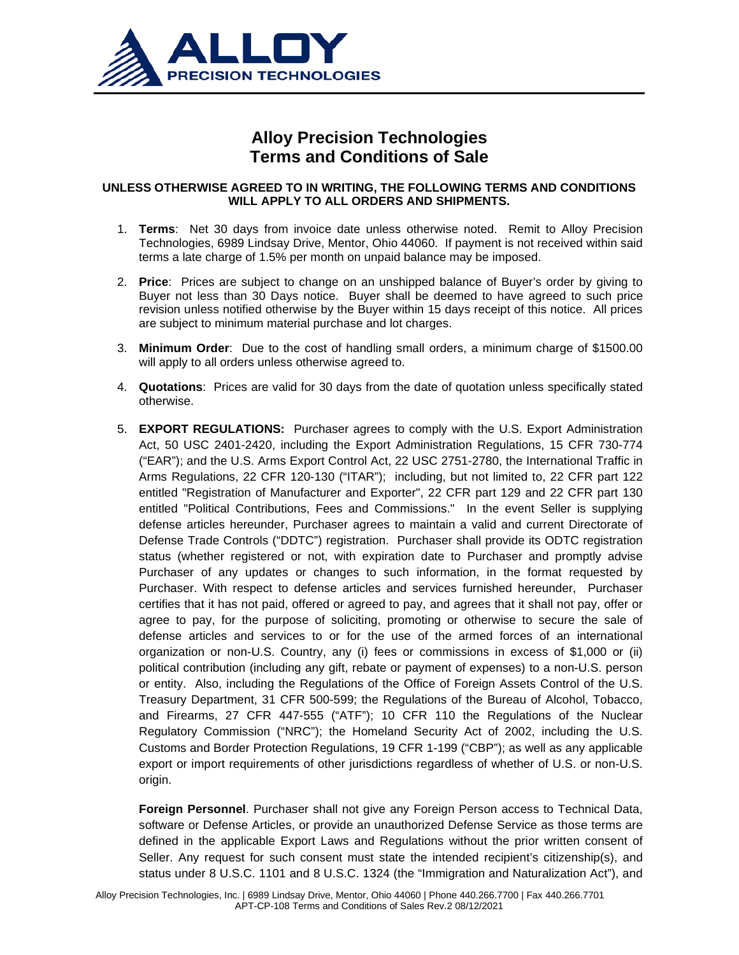

## **Alloy Precision Technologies Terms and Conditions of Sale**

## **UNLESS OTHERWISE AGREED TO IN WRITING, THE FOLLOWING TERMS AND CONDITIONS WILL APPLY TO ALL ORDERS AND SHIPMENTS.**

- 1. **Terms**: Net 30 days from invoice date unless otherwise noted. Remit to Alloy Precision Technologies, 6989 Lindsay Drive, Mentor, Ohio 44060. If payment is not received within said terms a late charge of 1.5% per month on unpaid balance may be imposed.
- 2. **Price**: Prices are subject to change on an unshipped balance of Buyer's order by giving to Buyer not less than 30 Days notice. Buyer shall be deemed to have agreed to such price revision unless notified otherwise by the Buyer within 15 days receipt of this notice. All prices are subject to minimum material purchase and lot charges.
- 3. **Minimum Order**: Due to the cost of handling small orders, a minimum charge of \$1500.00 will apply to all orders unless otherwise agreed to.
- 4. **Quotations**: Prices are valid for 30 days from the date of quotation unless specifically stated otherwise.
- 5. **EXPORT REGULATIONS:** Purchaser agrees to comply with the U.S. Export Administration Act, 50 USC 2401-2420, including the Export Administration Regulations, 15 CFR 730-774 ("EAR"); and the U.S. Arms Export Control Act, 22 USC 2751-2780, the International Traffic in Arms Regulations, 22 CFR 120-130 ("ITAR"); including, but not limited to, 22 CFR part 122 entitled "Registration of Manufacturer and Exporter", 22 CFR part 129 and 22 CFR part 130 entitled "Political Contributions, Fees and Commissions." In the event Seller is supplying defense articles hereunder, Purchaser agrees to maintain a valid and current Directorate of Defense Trade Controls ("DDTC") registration. Purchaser shall provide its ODTC registration status (whether registered or not, with expiration date to Purchaser and promptly advise Purchaser of any updates or changes to such information, in the format requested by Purchaser. With respect to defense articles and services furnished hereunder, Purchaser certifies that it has not paid, offered or agreed to pay, and agrees that it shall not pay, offer or agree to pay, for the purpose of soliciting, promoting or otherwise to secure the sale of defense articles and services to or for the use of the armed forces of an international organization or non-U.S. Country, any (i) fees or commissions in excess of \$1,000 or (ii) political contribution (including any gift, rebate or payment of expenses) to a non-U.S. person or entity. Also, including the Regulations of the Office of Foreign Assets Control of the U.S. Treasury Department, 31 CFR 500-599; the Regulations of the Bureau of Alcohol, Tobacco, and Firearms, 27 CFR 447-555 ("ATF"); 10 CFR 110 the Regulations of the Nuclear Regulatory Commission ("NRC"); the Homeland Security Act of 2002, including the U.S. Customs and Border Protection Regulations, 19 CFR 1-199 ("CBP"); as well as any applicable export or import requirements of other jurisdictions regardless of whether of U.S. or non-U.S. origin.

**Foreign Personnel**. Purchaser shall not give any Foreign Person access to Technical Data, software or Defense Articles, or provide an unauthorized Defense Service as those terms are defined in the applicable Export Laws and Regulations without the prior written consent of Seller. Any request for such consent must state the intended recipient's citizenship(s), and status under 8 U.S.C. 1101 and 8 U.S.C. 1324 (the "Immigration and Naturalization Act"), and